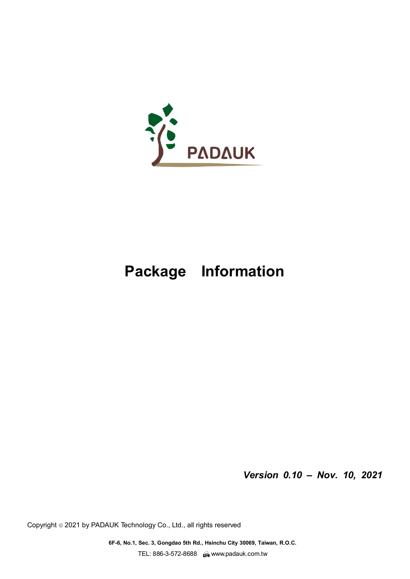

# **Package Information**

*Version 0.10 – Nov. 10, 2021*

Copyright 2021 by PADAUK Technology Co., Ltd., all rights reserved

**6F-6, No.1, Sec. 3, Gongdao 5th Rd., Hsinchu City 30069, Taiwan, R.O.C.**  TEL: 886-3-572-8688 www.padauk.com.tw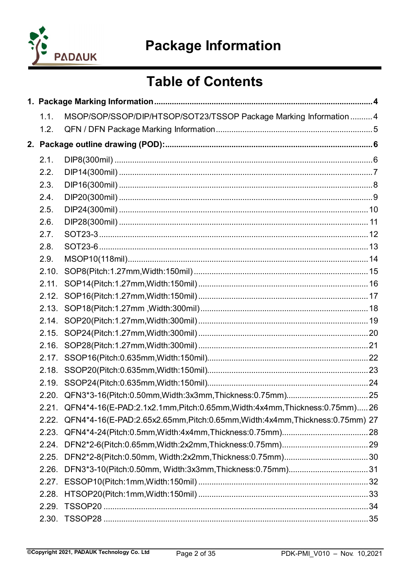

## **Table of Contents**

| 1.1.  | MSOP/SOP/SSOP/DIP/HTSOP/SOT23/TSSOP Package Marking Information  4                 |  |
|-------|------------------------------------------------------------------------------------|--|
| 1.2.  |                                                                                    |  |
|       |                                                                                    |  |
| 2.1.  |                                                                                    |  |
| 2.2.  |                                                                                    |  |
| 2.3.  |                                                                                    |  |
| 2.4.  |                                                                                    |  |
| 2.5.  |                                                                                    |  |
| 2.6.  |                                                                                    |  |
| 2.7.  |                                                                                    |  |
| 2.8.  |                                                                                    |  |
| 2.9.  |                                                                                    |  |
| 2.10. |                                                                                    |  |
| 2.11. |                                                                                    |  |
|       |                                                                                    |  |
|       |                                                                                    |  |
|       |                                                                                    |  |
|       |                                                                                    |  |
| 2.16. |                                                                                    |  |
|       |                                                                                    |  |
| 2.18. |                                                                                    |  |
| 2.19. |                                                                                    |  |
|       |                                                                                    |  |
|       | 2.21. QFN4*4-16(E-PAD:2.1x2.1mm, Pitch:0.65mm, Width:4x4mm, Thickness:0.75mm) 26   |  |
|       | 2.22. QFN4*4-16(E-PAD:2.65x2.65mm, Pitch:0.65mm, Width:4x4mm, Thickness:0.75mm) 27 |  |
| 2.23. |                                                                                    |  |
| 2.24. |                                                                                    |  |
| 2.25. |                                                                                    |  |
| 2.26. |                                                                                    |  |
| 2.27. |                                                                                    |  |
| 2.28. |                                                                                    |  |
| 2.29. |                                                                                    |  |
| 2.30. |                                                                                    |  |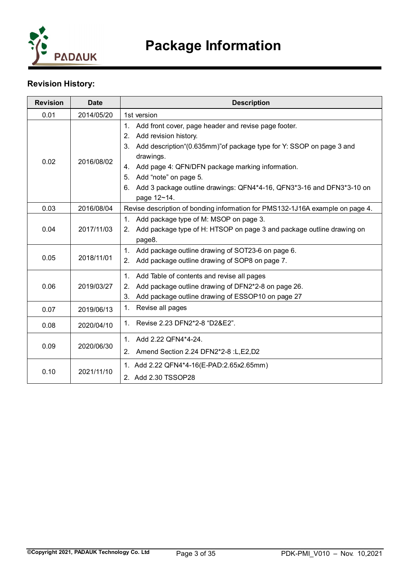

## **Revision History:**

| <b>Revision</b> | <b>Date</b> | <b>Description</b>                                                                                                                                                                                                                                                                                                                                                                 |
|-----------------|-------------|------------------------------------------------------------------------------------------------------------------------------------------------------------------------------------------------------------------------------------------------------------------------------------------------------------------------------------------------------------------------------------|
| 0.01            | 2014/05/20  | 1st version                                                                                                                                                                                                                                                                                                                                                                        |
| 0.02            | 2016/08/02  | Add front cover, page header and revise page footer.<br>1 <sup>1</sup><br>Add revision history.<br>2.<br>Add description "(0.635mm)" of package type for Y: SSOP on page 3 and<br>3.<br>drawings.<br>4. Add page 4: QFN/DFN package marking information.<br>Add "note" on page 5.<br>5.<br>6. Add 3 package outline drawings: QFN4*4-16, QFN3*3-16 and DFN3*3-10 on<br>page 12~14. |
| 0.03            | 2016/08/04  | Revise description of bonding information for PMS132-1J16A example on page 4.                                                                                                                                                                                                                                                                                                      |
| 0.04            | 2017/11/03  | Add package type of M: MSOP on page 3.<br>$1_{-}$<br>2. Add package type of H: HTSOP on page 3 and package outline drawing on<br>page8.                                                                                                                                                                                                                                            |
| 0.05            | 2018/11/01  | 1. Add package outline drawing of SOT23-6 on page 6.<br>Add package outline drawing of SOP8 on page 7.<br>2.                                                                                                                                                                                                                                                                       |
| 0.06            | 2019/03/27  | 1. Add Table of contents and revise all pages<br>Add package outline drawing of DFN2*2-8 on page 26.<br>2.<br>Add package outline drawing of ESSOP10 on page 27<br>$3_{-}$                                                                                                                                                                                                         |
| 0.07            | 2019/06/13  | Revise all pages<br>1.                                                                                                                                                                                                                                                                                                                                                             |
| 0.08            | 2020/04/10  | Revise 2.23 DFN2*2-8 "D2&E2".<br>1 <sup>1</sup>                                                                                                                                                                                                                                                                                                                                    |
| 0.09            | 2020/06/30  | 1. Add 2.22 QFN4*4-24.<br>2. Amend Section 2.24 DFN2*2-8 :L,E2,D2                                                                                                                                                                                                                                                                                                                  |
| 0.10            | 2021/11/10  | 1. Add 2.22 QFN4*4-16(E-PAD:2.65x2.65mm)<br>2. Add 2.30 TSSOP28                                                                                                                                                                                                                                                                                                                    |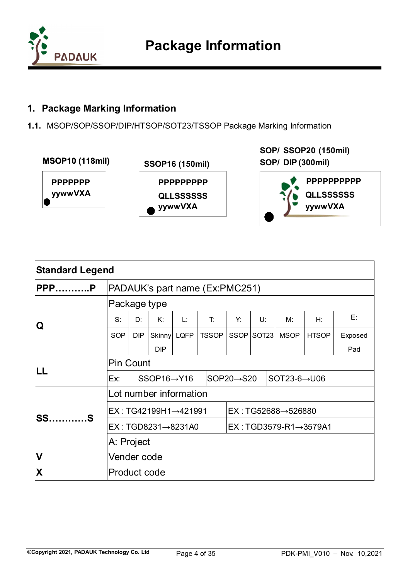

## <span id="page-3-0"></span>**1. Package Marking Information**

<span id="page-3-1"></span>**1.1.** MSOP/SOP/SSOP/DIP/HTSOP/SOT23/TSSOP Package Marking Information



**SOP/ SSOP20 (150mil) (150mil) SOP/ DIP (300mil) DIP(300mil)**



| <b>Standard Legend</b> |                                                           |            |                          |    |              |                                   |            |                            |              |         |
|------------------------|-----------------------------------------------------------|------------|--------------------------|----|--------------|-----------------------------------|------------|----------------------------|--------------|---------|
| PPPP                   | PADAUK's part name (Ex:PMC251)                            |            |                          |    |              |                                   |            |                            |              |         |
|                        | Package type                                              |            |                          |    |              |                                   |            |                            |              |         |
| Q                      | $S^{\cdot}$                                               | D:         | К:                       | Ŀ. | T.           | Y:                                | U:         | M:                         | H:           | E:      |
|                        | <b>SOP</b>                                                | <b>DIP</b> | Skinny LQFP              |    | <b>TSSOP</b> |                                   | SSOP SOT23 | <b>MSOP</b>                | <b>HTSOP</b> | Exposed |
|                        |                                                           |            | <b>DIP</b>               |    |              |                                   |            |                            |              | Pad     |
|                        | <b>Pin Count</b>                                          |            |                          |    |              |                                   |            |                            |              |         |
| ILL                    | Ex:                                                       |            | $SSOP16 \rightarrow Y16$ |    |              | $SOP20 \rightarrow S20$           |            | $ SOT23-6 \rightarrow U06$ |              |         |
|                        | Lot number information                                    |            |                          |    |              |                                   |            |                            |              |         |
|                        | EX: TG42199H1→421991                                      |            |                          |    |              | $EX : TG52688 \rightarrow 526880$ |            |                            |              |         |
| <b>SS</b><br>. S       | EX: TGD8231→8231A0<br>$EX: TGD3579-R1 \rightarrow 3579A1$ |            |                          |    |              |                                   |            |                            |              |         |
|                        | A: Project                                                |            |                          |    |              |                                   |            |                            |              |         |
| <b>V</b>               | Vender code                                               |            |                          |    |              |                                   |            |                            |              |         |
| X                      | <b>Product code</b>                                       |            |                          |    |              |                                   |            |                            |              |         |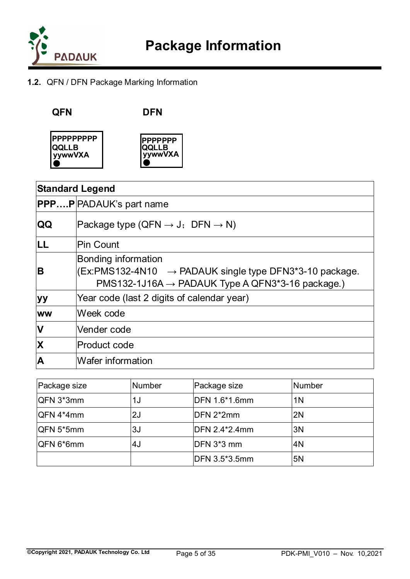

## <span id="page-4-0"></span>**1.2.** QFN / DFN Package Marking Information

**QFN DFN**





|                         | <b>Standard Legend</b>                                                                                                                                                |  |  |  |  |  |
|-------------------------|-----------------------------------------------------------------------------------------------------------------------------------------------------------------------|--|--|--|--|--|
|                         | <b>PPPP</b> PADAUK's part name                                                                                                                                        |  |  |  |  |  |
| <b>QQ</b>               | Package type (QFN $\rightarrow$ J; DFN $\rightarrow$ N)                                                                                                               |  |  |  |  |  |
| LL                      | Pin Count                                                                                                                                                             |  |  |  |  |  |
| B                       | <b>Bonding information</b><br>$ $ (Ex:PMS132-4N10 $\rightarrow$ PADAUK single type DFN3*3-10 package.<br>$PMS132-1J16A \rightarrow PADAUK Type A QFN3*3-16 package.)$ |  |  |  |  |  |
| <b>yy</b>               | Year code (last 2 digits of calendar year)                                                                                                                            |  |  |  |  |  |
| <b>WW</b>               | Week code                                                                                                                                                             |  |  |  |  |  |
| $\overline{\mathsf{V}}$ | Vender code                                                                                                                                                           |  |  |  |  |  |
| $\overline{\mathbf{X}}$ | <b>Product code</b>                                                                                                                                                   |  |  |  |  |  |
| A                       | <b>Wafer information</b>                                                                                                                                              |  |  |  |  |  |

| Package size | Number | Package size   | Number         |
|--------------|--------|----------------|----------------|
| QFN 3*3mm    | 1J     | DFN 1.6*1.6mm  | 1 <sub>N</sub> |
| $QFN 4*4mm$  | 2J     | DFN 2*2mm      | 2N             |
| QFN 5*5mm    | 3J     | IDFN 2.4*2.4mm | 3N             |
| QFN 6*6mm    | 4J     | DFN 3*3 mm     | 4N             |
|              |        | DFN 3.5*3.5mm  | 5N             |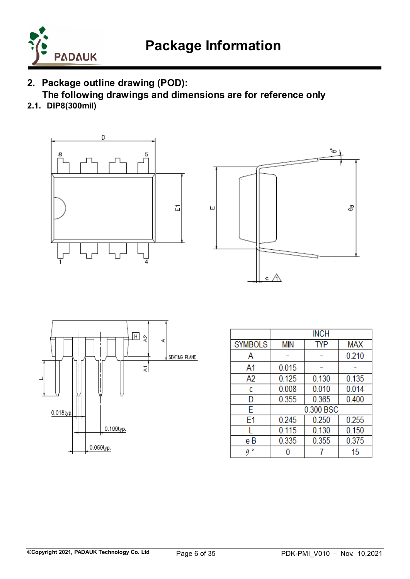

## <span id="page-5-0"></span>**2. Package outline drawing (POD):**

 **The following drawings and dimensions are for reference only**

<span id="page-5-1"></span>**2.1. DIP8(300mil)**







|                |            | <b>INCH</b> |            |
|----------------|------------|-------------|------------|
| <b>SYMBOLS</b> | <b>MIN</b> | TYP         | <b>MAX</b> |
| Α              |            |             | 0.210      |
| A1             | 0.015      |             |            |
| A <sub>2</sub> | 0.125      | 0.130       | 0.135      |
| c              | 0.008      | 0.010       | 0.014      |
| D              | 0.355      | 0.365       | 0.400      |
| E              | 0.300 BSC  |             |            |
| E1             | 0.245      | 0.250       | 0.255      |
|                | 0.115      | 0.130       | 0.150      |
| e B            | 0.335      | 0.355       | 0.375      |
| ۰              |            |             | 15         |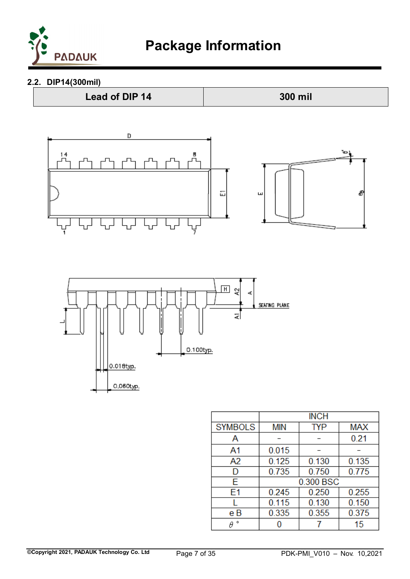

<span id="page-6-0"></span>**2.2. DIP14(300mil)**



|                | <b>INCH</b> |            |            |  |
|----------------|-------------|------------|------------|--|
| <b>SYMBOLS</b> | <b>MIN</b>  | <b>TYP</b> | <b>MAX</b> |  |
| Α              |             |            | 0.21       |  |
| A1             | 0.015       |            |            |  |
| A2             | 0.125       | 0.130      | 0.135      |  |
| D              | 0.735       | 0.750      | 0.775      |  |
| E              | 0.300 BSC   |            |            |  |
| E1             | 0.245       | 0.250      | 0.255      |  |
|                | 0.115       | 0.130      | 0.150      |  |
| e B            | 0.335       | 0.355      | 0.375      |  |
| ۰              |             |            | 15         |  |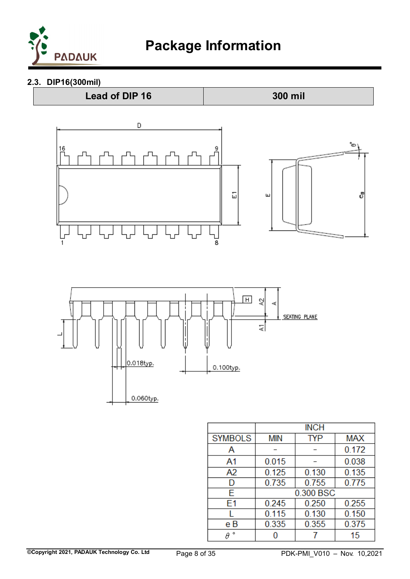

## <span id="page-7-0"></span>**2.3. DIP16(300mil)**





|                | <b>INCH</b> |            |            |  |
|----------------|-------------|------------|------------|--|
| <b>SYMBOLS</b> | MIN         | <b>TYP</b> | <b>MAX</b> |  |
| Α              |             |            | 0.172      |  |
| A1             | 0.015       |            | 0.038      |  |
| A2             | 0.125       | 0.130      | 0.135      |  |
| D              | 0.735       | 0.755      | 0.775      |  |
| E              | 0.300 BSC   |            |            |  |
| E1             | 0.245       | 0.250      | 0.255      |  |
|                | 0.115       | 0.130      | 0.150      |  |
| e B            | 0.335       | 0.355      | 0.375      |  |
| ۰              |             |            | 15         |  |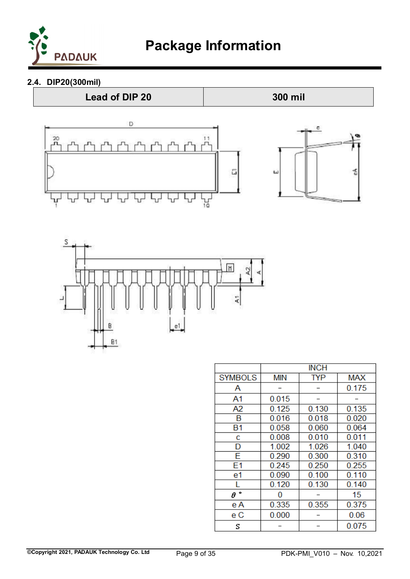

<span id="page-8-0"></span>**2.4. DIP20(300mil)**







|                |            | <b>INCH</b> |            |
|----------------|------------|-------------|------------|
| <b>SYMBOLS</b> | <b>MIN</b> | <b>TYP</b>  | <b>MAX</b> |
| Α              |            |             | 0.175      |
| A <sub>1</sub> | 0.015      |             |            |
| A <sub>2</sub> | 0.125      | 0.130       | 0.135      |
| B              | 0.016      | 0.018       | 0.020      |
| B <sub>1</sub> | 0.058      | 0.060       | 0.064      |
| c              | 0.008      | 0.010       | 0.011      |
| D              | 1.002      | 1.026       | 1.040      |
| F              | 0.290      | 0.300       | 0.310      |
| E1             | 0.245      | 0.250       | 0.255      |
| e1             | 0.090      | 0.100       | 0.110      |
|                | 0.120      | 0.130       | 0.140      |
| ۰<br>$\theta$  | 0          |             | 15         |
| e A            | 0.335      | 0.355       | 0.375      |
| e C            | 0.000      |             | 0.06       |
| S              |            |             | 0.075      |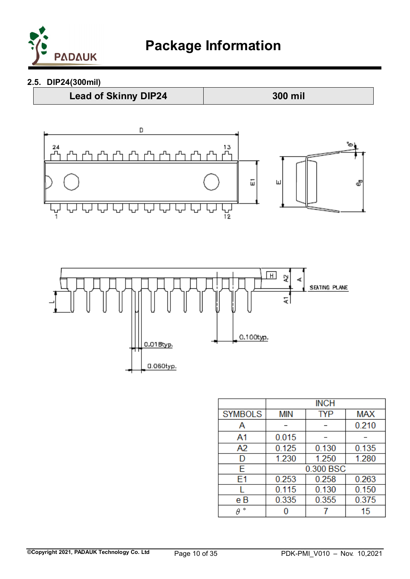

## <span id="page-9-0"></span>**2.5. DIP24(300mil)**

**Lead of Skinny DIP24 300 mil**



|                |            | <b>INCH</b> |            |
|----------------|------------|-------------|------------|
| <b>SYMBOLS</b> | <b>MIN</b> | TYP         | <b>MAX</b> |
| Α              |            |             | 0.210      |
| A1             | 0.015      |             |            |
| A2             | 0.125      | 0.130       | 0.135      |
| D              | 1.230      | 1.250       | 1.280      |
| E              | 0.300 BSC  |             |            |
| E <sub>1</sub> | 0.253      | 0.258       | 0.263      |
|                | 0.115      | 0.130       | 0.150      |
| e B            | 0.335      | 0.355       | 0.375      |
| ۰              |            |             | 15         |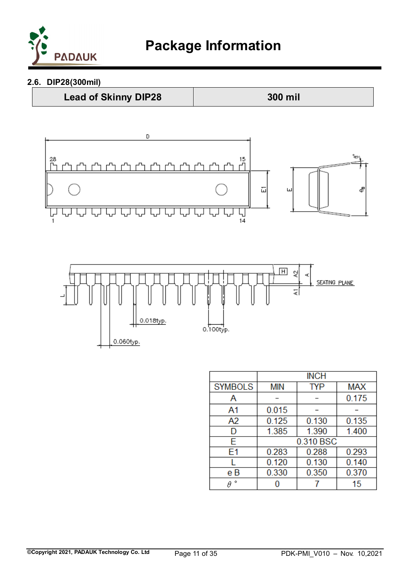

## <span id="page-10-0"></span>**2.6. DIP28(300mil)**







|                | <b>INCH</b> |           |            |  |
|----------------|-------------|-----------|------------|--|
| <b>SYMBOLS</b> | <b>MIN</b>  | TYP       | <b>MAX</b> |  |
| Α              |             |           | 0.175      |  |
| A1             | 0.015       |           |            |  |
| A2             | 0.125       | 0.130     | 0.135      |  |
| D              | 1.385       | 1.390     | 1.400      |  |
| E              |             | 0.310 BSC |            |  |
| E1             | 0.283       | 0.288     | 0.293      |  |
|                | 0.120       | 0.130     | 0.140      |  |
| e B            | 0.330       | 0.350     | 0.370      |  |
| ۰              |             |           | 15         |  |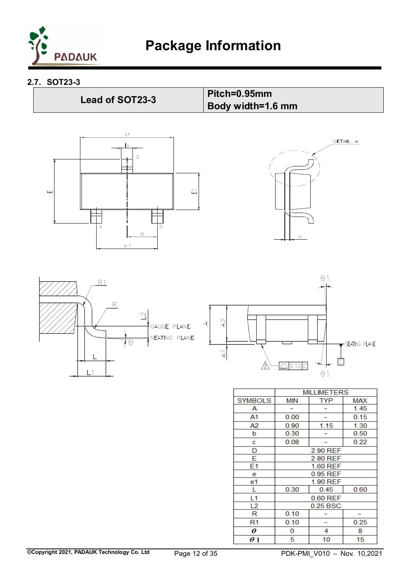

<span id="page-11-0"></span>**2.7. SOT23-3**

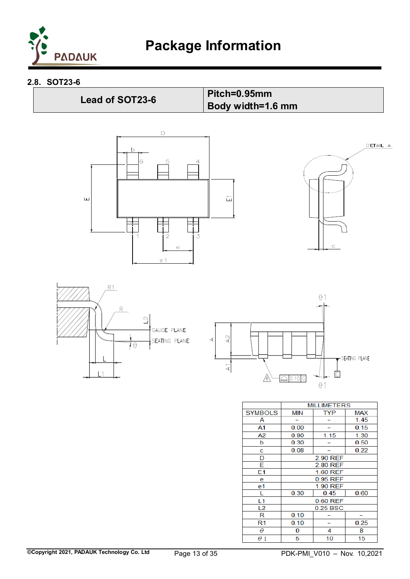

#### <span id="page-12-0"></span>**2.8. SOT23-6**

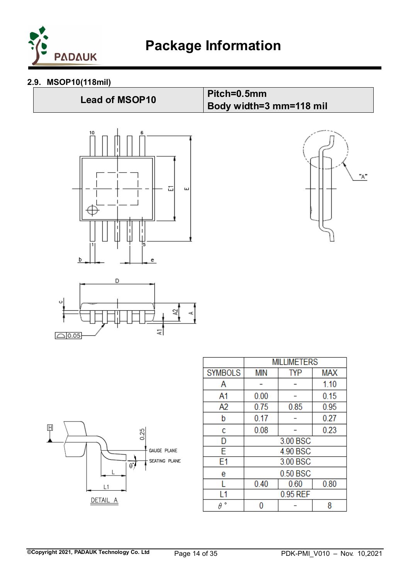

## <span id="page-13-0"></span>**2.9. MSOP10(118mil)**

# **Lead of MSOP10 Pitch=0.5mm Body width=3 mm=118 mil**풉  $\overline{\mathbf{u}}$ b e







|                | <b>MILLIMETERS</b> |            |            |  |
|----------------|--------------------|------------|------------|--|
| <b>SYMBOLS</b> | <b>MIN</b>         | <b>TYP</b> | <b>MAX</b> |  |
| Α              |                    |            | 1.10       |  |
| A <sub>1</sub> | 0.00               |            | 0.15       |  |
| A <sub>2</sub> | 0.75               | 0.85       | 0.95       |  |
| b              | 0.17               |            | 0.27       |  |
| c              | 0.08               |            | 0.23       |  |
| D              | 3.00 BSC           |            |            |  |
| Ë              | 4.90 BSC           |            |            |  |
| E1             | 3.00 BSC           |            |            |  |
| e              | 0.50 BSC           |            |            |  |
|                | 0.40               | 0.60       | 0.80       |  |
|                | 0.95 REF           |            |            |  |
| ۰              |                    |            | 8          |  |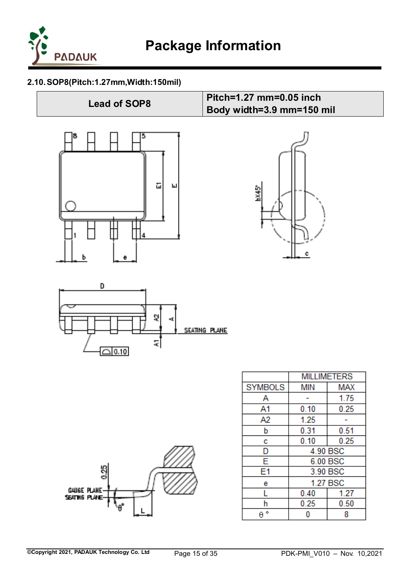

## <span id="page-14-0"></span>**2.10.SOP8(Pitch:1.27mm,Width:150mil)**





| ø<br>GAUGE PLANE-<br>SEATHS PLANE- |  | ē |  |
|------------------------------------|--|---|--|
|------------------------------------|--|---|--|

|                | <b>MILLIMETERS</b> |          |  |
|----------------|--------------------|----------|--|
| <b>SYMBOLS</b> | min                | MAX      |  |
| А              |                    | 1.75     |  |
| A1             | 0.10               | 0.25     |  |
| A2             | 1.25               |          |  |
| b              | 0.31               | 0.51     |  |
| c              | 0.10               | 0.25     |  |
| D              | 4.90 BSC           |          |  |
| E              |                    | 6.00 BSC |  |
| E1             |                    | 3.90 BSC |  |
| e              |                    | 1.27 BSC |  |
|                | 0.40<br>1.27       |          |  |
| h              | 0.25               | 0.50     |  |
| ۰              |                    |          |  |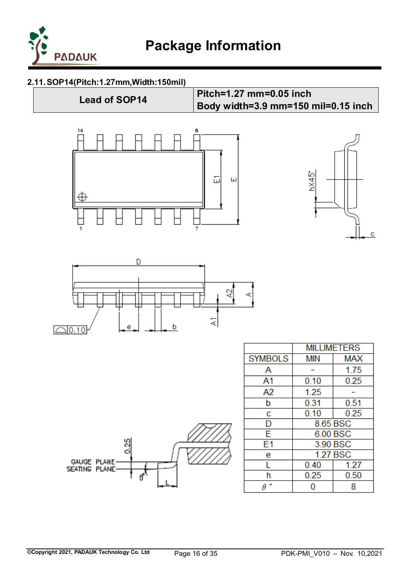

## <span id="page-15-0"></span>**2.11.SOP14(Pitch:1.27mm,Width:150mil)**

## **Lead of SOP14 Pitch=1.27 mm=0.05 inch Body width=3.9 mm=150 mil=0.15 inch**







| GAUGE PLANE-<br>SEATING PLANE- | ഗ<br>d |  |
|--------------------------------|--------|--|
|                                |        |  |

|                | <b>MILLIMETERS</b> |            |
|----------------|--------------------|------------|
| <b>SYMBOLS</b> | <b>MIN</b>         | <b>MAX</b> |
| Α              |                    | 1.75       |
| A1             | 0.10               | 0.25       |
| A2             | 1.25               |            |
| b              | 0.31               | 0.51       |
| c              | 0.10               | 0.25       |
| D              | 8.65 BSC           |            |
| Ē              |                    | 6.00 BSC   |
| F1             | 3.90 BSC           |            |
| e              | <b>1.27 BSC</b>    |            |
| L              | 0.40               | 1.27       |
| h              | 0.25               | 0.50       |
| ۰<br>θ         |                    |            |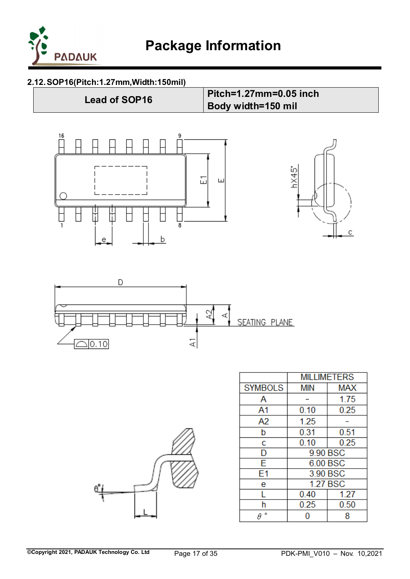

## <span id="page-16-0"></span>**2.12.SOP16(Pitch:1.27mm,Width:150mil)**





|                | <b>MILLIMETERS</b> |            |
|----------------|--------------------|------------|
| <b>SYMBOLS</b> | min                | <b>MAX</b> |
| А              |                    | 1.75       |
| A1             | 0.10               | 0.25       |
| A2             | 1.25               |            |
| b              | 0.31               | 0.51       |
| c              | 0.10               | 0.25       |
| D              | 9.90 BSC           |            |
| Ë              |                    | 6.00 BSC   |
| F1             | 3.90 BSC           |            |
| e              | <b>1.27 BSC</b>    |            |
| L              | 0.40               | 1.27       |
| h              | 0.25               | 0.50       |
| ۰              | 8                  |            |

¢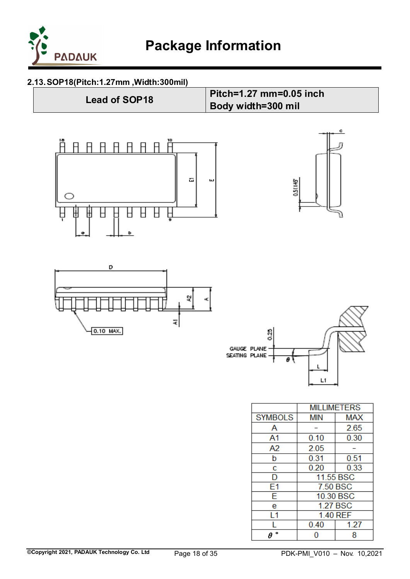

**Lead of SOP18 Pitch=1.27 mm=0.05 inch** 

**Body width=300 mil**

## <span id="page-17-0"></span>**2.13.SOP18(Pitch:1.27mm ,Width:300mil)**

| <b>Lead of SOP18</b> |  |
|----------------------|--|
|----------------------|--|









|                | <b>MILLIMETERS</b>       |           |  |
|----------------|--------------------------|-----------|--|
| <b>SYMBOLS</b> | <b>MIN</b><br><b>MAX</b> |           |  |
| А              | 2.65                     |           |  |
| A1             | 0.10                     | 0.30      |  |
| A2             | 2.05                     |           |  |
| b              | 0.51<br>0.31             |           |  |
| c              | 0.33<br>0.20             |           |  |
| D              | 11.55 BSC                |           |  |
| E1             | 7.50 BSC                 |           |  |
| Ë              |                          | 10.30 BSC |  |
| e              | <b>1.27 BSC</b>          |           |  |
| l 1            | 1.40 REF                 |           |  |
|                | 0.40                     | 1.27      |  |
| ۰              | 8                        |           |  |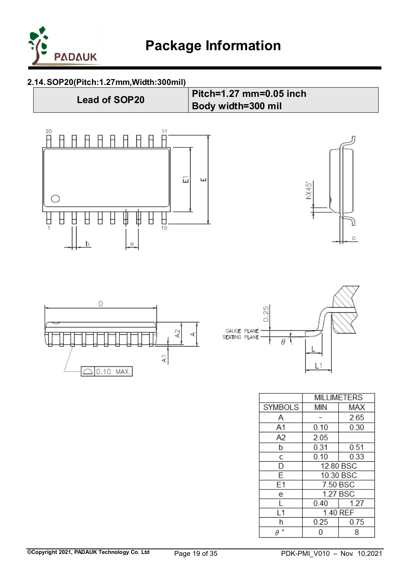

#### <span id="page-18-0"></span>**2.14.SOP20(Pitch:1.27mm,Width:300mil)**



|                | MILLIMETERS              |          |
|----------------|--------------------------|----------|
| <b>SYMBOLS</b> | <b>MAX</b><br><b>MIN</b> |          |
| Α              |                          | 2.65     |
| A1             | 0.10                     | 0.30     |
| A2             | 2.05                     |          |
| þ              | 0.31                     | 0.51     |
| Ċ              | 0.10                     | 0.33     |
| D              | 12.80 BSC                |          |
| Ē              | 10.30 BSC                |          |
| E1             | 7.50 BSC                 |          |
| e              |                          | 1.27 BSC |
|                | 0.40                     | 1.27     |
| L1             | 1.40 REF                 |          |
| h              | 0.25                     | 0.75     |
| ۰<br>θ         | 8                        |          |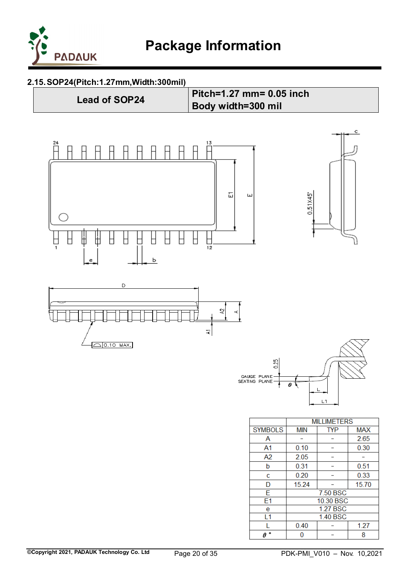

#### <span id="page-19-0"></span>**2.15.SOP24(Pitch:1.27mm,Width:300mil)**

**Lead of SOP24 Pitch=1.27 mm= 0.05 inch Body width=300 mil** 



 $7.50$  BSC

10.30 BSC **1.27 BSC** 

1.40 BSC

 $\overline{\phantom{0}}$ 

 $\overline{\phantom{a}}$ 

 $1.27$ 

8

 $0.40$ 

 $\bf{0}$ 

 $\overline{\mathsf{E}}$ 

 $E1$ 

e

 $L1$ 

L

 $\theta$   $^{\circ}$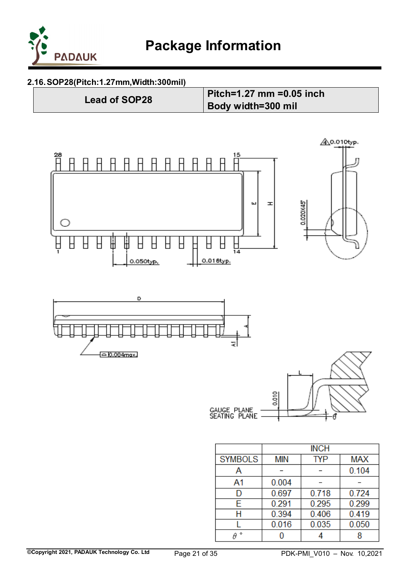

## <span id="page-20-0"></span>**2.16.SOP28(Pitch:1.27mm,Width:300mil)**

**Lead of SOP28 Pitch=1.27 mm =0.05 inch Body width=300 mil** 



|                | <b>INCH</b> |            |            |
|----------------|-------------|------------|------------|
| <b>SYMBOLS</b> | <b>MIN</b>  | <b>TYP</b> | <b>MAX</b> |
| А              |             |            | 0.104      |
| A1             | 0.004       |            |            |
| D              | 0.697       | 0.718      | 0.724      |
| Е              | 0.291       | 0.295      | 0.299      |
| Н              | 0.394       | 0.406      | 0.419      |
|                | 0.016       | 0.035      | 0.050      |
| ۰              |             |            |            |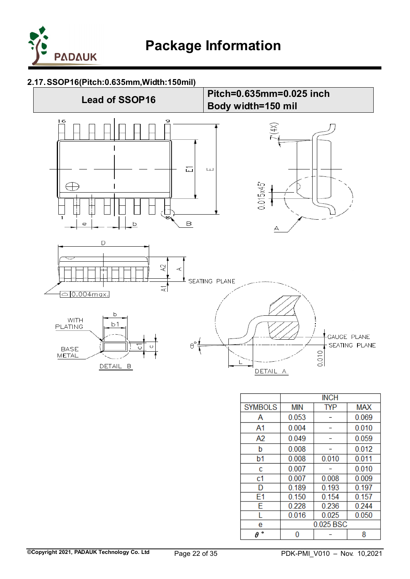

#### <span id="page-21-0"></span>**2.17.SSOP16(Pitch:0.635mm,Width:150mil)**



|                | <b>INCH</b> |            |            |
|----------------|-------------|------------|------------|
| <b>SYMBOLS</b> | <b>MIN</b>  | <b>TYP</b> | <b>MAX</b> |
| Α              | 0.053       |            | 0.069      |
| A1             | 0.004       |            | 0.010      |
| A2             | 0.049       |            | 0.059      |
| b              | 0.008       |            | 0.012      |
| b1             | 0.008       | 0.010      | 0.011      |
| c              | 0.007       |            | 0.010      |
| c1             | 0.007       | 0.008      | 0.009      |
| D              | 0.189       | 0.193      | 0.197      |
| E1             | 0.150       | 0.154      | 0.157      |
| Ë              | 0.228       | 0.236      | 0.244      |
| L              | 0.016       | 0.025      | 0.050      |
| e              | 0.025 BSC   |            |            |
| θ              | 8           |            |            |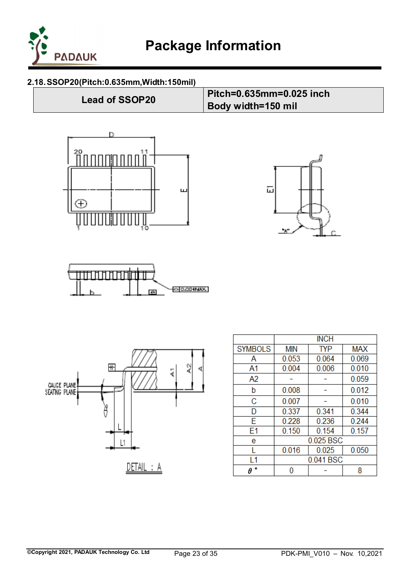

#### <span id="page-22-0"></span>**2.18.SSOP20(Pitch:0.635mm,Width:150mil)**











|                |            | <b>INCH</b> |            |
|----------------|------------|-------------|------------|
| <b>SYMBOLS</b> | <b>MIN</b> | <b>TYP</b>  | <b>MAX</b> |
| Α              | 0.053      | 0.064       | 0.069      |
| A1             | 0.004      | 0.006       | 0.010      |
| A2             |            |             | 0.059      |
| b              | 0.008      |             | 0.012      |
| C              | 0.007      |             | 0.010      |
| D              | 0.337      | 0.341       | 0.344      |
| F              | 0.228      | 0.236       | 0.244      |
| E1             | 0.150      | 0.154       | 0.157      |
| e              | 0.025 BSC  |             |            |
|                | 0.016      | 0.025       | 0.050      |
| l 1            | 0.041 BSC  |             |            |
| o<br>θ         | 8          |             |            |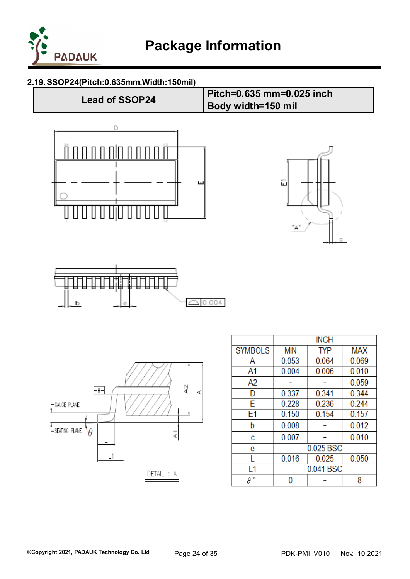

**Body width=150 mil** 

## <span id="page-23-0"></span>**2.19.SSOP24(Pitch:0.635mm,Width:150mil)**

**Lead of SSOP24 Pitch=0.635 mm=0.025 inch**









|                |            | <b>INCH</b> |            |
|----------------|------------|-------------|------------|
| <b>SYMBOLS</b> | <b>MIN</b> | <b>TYP</b>  | <b>MAX</b> |
| Α              | 0.053      | 0.064       | 0.069      |
| A <sub>1</sub> | 0.004      | 0.006       | 0.010      |
| A2             |            |             | 0.059      |
| D              | 0.337      | 0.341       | 0.344      |
| F              | 0.228      | 0.236       | 0.244      |
| E1             | 0.150      | 0.154       | 0.157      |
| b              | 0.008      |             | 0.012      |
| c              | 0.007      |             | 0.010      |
| e              |            | 0.025 BSC   |            |
|                | 0.016      | 0.025       | 0.050      |
| l 1            | 0.041 BSC  |             |            |
| ۰<br>θ         |            |             | 8          |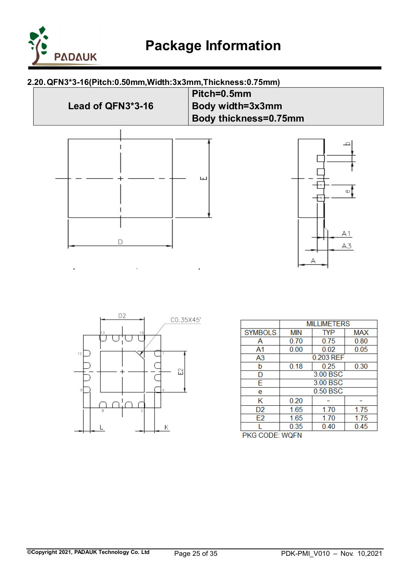

l,

## <span id="page-24-0"></span>**2.20.QFN3\*3-16(Pitch:0.50mm,Width:3x3mm,Thickness:0.75mm)**





|                    | <b>MILLIMETERS</b> |            |            |
|--------------------|--------------------|------------|------------|
| <b>SYMBOLS</b>     | <b>MIN</b>         | <b>TYP</b> | <b>MAX</b> |
| Α                  | 0.70               | 0.75       | 0.80       |
| A1                 | 0.00               | 0.02       | 0.05       |
| A3                 |                    | 0.203 REF  |            |
| b                  | 0.18               | 0.25       | 0.30       |
| D                  | 3.00 BSC           |            |            |
| Ë                  | 3.00 BSC           |            |            |
| e                  | 0.50 BSC           |            |            |
| Κ                  | 0.20               |            |            |
| D <sub>2</sub>     | 1.65               | 1.70       | 1.75       |
| E2                 | 1.65               | 1.70       | 1.75       |
|                    | 0.35               | 0.40       | 0.45       |
| CODE: MOEN<br>DKG. |                    |            |            |

**PKG CODE: WOFN**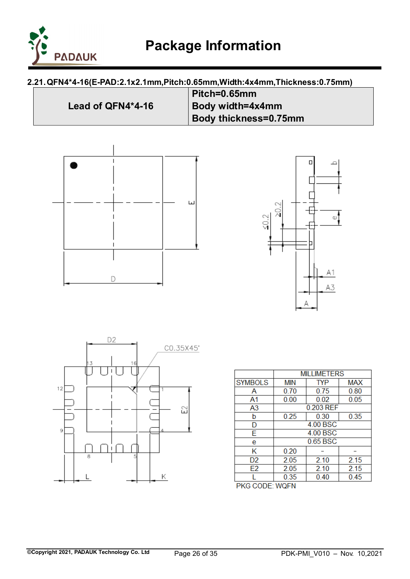

## <span id="page-25-0"></span>**2.21.QFN4\*4-16(E-PAD:2.1x2.1mm,Pitch:0.65mm,Width:4x4mm,Thickness:0.75mm)**

|                   | Pitch=0.65mm                 |
|-------------------|------------------------------|
| Lead of QFN4*4-16 | Body width=4x4mm             |
|                   | <b>Body thickness=0.75mm</b> |







|                | <b>MILLIMETERS</b> |            |      |
|----------------|--------------------|------------|------|
| <b>SYMBOLS</b> | <b>MIN</b>         | <b>TYP</b> | MAX  |
| А              | 0.70               | 0.75       | 0.80 |
| A1             | 0.00               | 0.02       | 0.05 |
| A3             |                    | 0.203 REF  |      |
| b              | 0.25               | 0.30       | 0.35 |
| D              | 4.00 BSC           |            |      |
| E              | 4.00 BSC           |            |      |
| e              | 0.65 BSC           |            |      |
| Κ              | 0.20               |            |      |
| D <sub>2</sub> | 2.05               | 2.10       | 2.15 |
| E <sub>2</sub> | 2.05               | 2.10       | 2.15 |
|                | 0.35               | 0.40       | 0.45 |
| PKG CODF∸WOFN  |                    |            |      |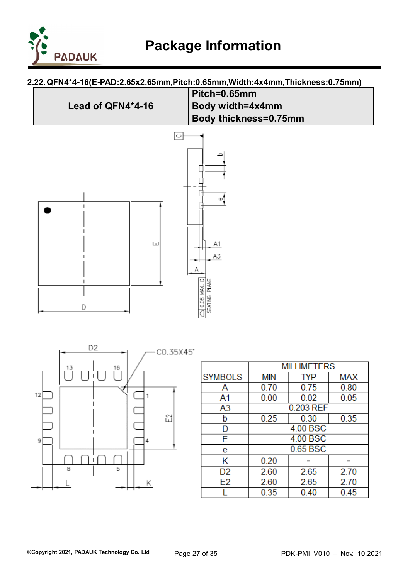

## <span id="page-26-0"></span>**2.22.QFN4\*4-16(E-PAD:2.65x2.65mm,Pitch:0.65mm,Width:4x4mm,Thickness:0.75mm)**





|                | <b>MILLIMETERS</b> |            |            |
|----------------|--------------------|------------|------------|
| <b>SYMBOLS</b> | <b>MIN</b>         | <b>TYP</b> | <b>MAX</b> |
| А              | 0.70               | 0.75       | 0.80       |
| A1             | 0.00               | 0.02       | 0.05       |
| A <sub>3</sub> |                    | 0.203 REF  |            |
| b              | 0.25               | 0.30       | 0.35       |
| D              | 4.00 BSC           |            |            |
| E              | 4.00 BSC           |            |            |
| e              | 0.65 BSC           |            |            |
| Κ              | 0.20               |            |            |
| D2             | 2.60               | 2.65       | 2.70       |
| E <sub>2</sub> | 2.60               | 2.65       | 2.70       |
|                | 0.35               | 0.40       | 0.45       |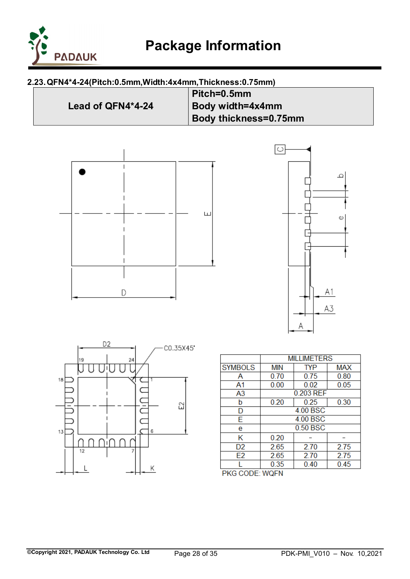

## <span id="page-27-0"></span>**2.23.QFN4\*4-24(Pitch:0.5mm,Width:4x4mm,Thickness:0.75mm)**

|                   | Pitch=0.5mm           |
|-------------------|-----------------------|
| Lead of QFN4*4-24 | Body width=4x4mm      |
|                   | Body thickness=0.75mm |







|                |          | <b>MILLIMETERS</b> |            |
|----------------|----------|--------------------|------------|
| <b>SYMBOLS</b> | MIN      | TYP                | <b>MAX</b> |
| А              | 0.70     | 0.75               | 0.80       |
| A1             | 0.00     | 0.02               | 0.05       |
| A3             |          | 0.203 REF          |            |
| b              | 0.20     | 0.25               | 0.30       |
| D              | 4.00 BSC |                    |            |
| E              | 4.00 BSC |                    |            |
| e              | 0.50 BSC |                    |            |
| κ              | 0.20     |                    |            |
| D <sub>2</sub> | 2.65     | 2.70               | 2.75       |
| E <sub>2</sub> | 2.65     | 2.70               | 2.75       |
|                | 0.35     | 0.40               | 0.45       |
| PKG CODE: WQFN |          |                    |            |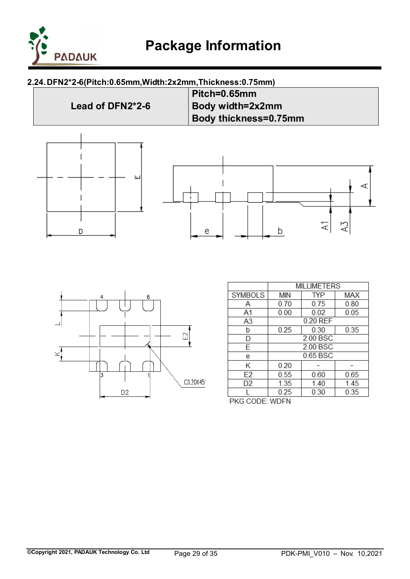

## <span id="page-28-0"></span>**2.24.DFN2\*2-6(Pitch:0.65mm,Width:2x2mm,Thickness:0.75mm)**





|                | <b>MILLIMETERS</b> |            |            |
|----------------|--------------------|------------|------------|
| <b>SYMBOLS</b> | <b>MIN</b>         | <b>TYP</b> | <b>MAX</b> |
| Α              | 0.70               | 0.75       | 0.80       |
| A1             | 0.00               | 0.02       | 0.05       |
| A3             |                    | 0.20 REF   |            |
| b              | 0.25               | 0.30       | 0.35       |
| D              | 2.00 BSC           |            |            |
| F              | 2.00 BSC           |            |            |
| e              | 0.65 BSC           |            |            |
| Κ              | 0.20               |            |            |
| E <sub>2</sub> | 0.55               | 0.60       | 0.65       |
| D <sub>2</sub> | 1.35               | 1.40       | 1.45       |
|                | 0.25               | 0.30       | 0.35       |
| PKG CODE: WDFN |                    |            |            |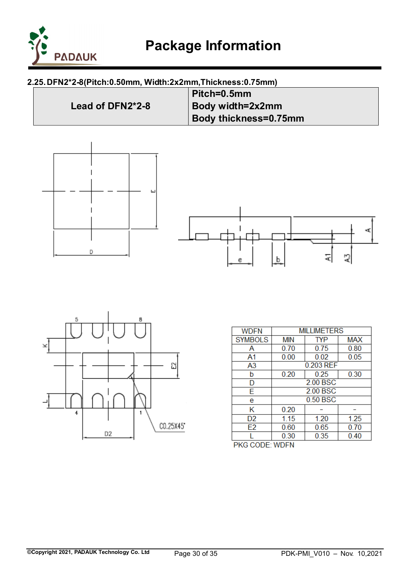

## <span id="page-29-0"></span>**2.25.DFN2\*2-8(Pitch:0.50mm, Width:2x2mm,Thickness:0.75mm)**









| WDFN               | <b>MILLIMETERS</b> |            |            |
|--------------------|--------------------|------------|------------|
| <b>SYMBOLS</b>     | <b>MIN</b>         | <b>TYP</b> | <b>MAX</b> |
| Α                  | 0.70               | 0.75       | 0.80       |
| A1                 | 0.00               | 0.02       | 0.05       |
| A3                 |                    | 0.203 REF  |            |
| b                  | 0.20               | 0.25       | 0.30       |
| D                  | 2.00 BSC           |            |            |
| E                  | 2.00 BSC           |            |            |
| e                  | 0.50 BSC           |            |            |
| κ                  | 0.20               |            |            |
| D2                 | 1.15               | 1.20       | 1.25       |
| E <sub>2</sub>     | 0.60               | 0.65       | 0.70       |
|                    | 0.30               | 0.35       | 0.40       |
| CODE-MORTH<br>משמח |                    |            |            |

PKG CODE: WDFN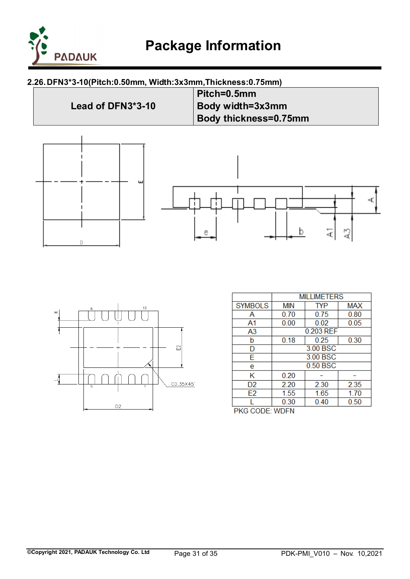

## <span id="page-30-0"></span>**2.26.DFN3\*3-10(Pitch:0.50mm, Width:3x3mm,Thickness:0.75mm)**





|                     | <b>MILLIMETERS</b> |            |            |
|---------------------|--------------------|------------|------------|
| <b>SYMBOLS</b>      | <b>MIN</b>         | <b>TYP</b> | <b>MAX</b> |
| Α                   | 0.70               | 0.75       | 0.80       |
| A1                  | 0.00               | 0.02       | 0.05       |
| A <sub>3</sub>      |                    | 0.203 REF  |            |
| b                   | 0.18               | 0.25       | 0.30       |
| D                   | 3.00 BSC           |            |            |
| E                   | 3.00 BSC           |            |            |
| e                   | 0.50 BSC           |            |            |
| Κ                   | 0.20               |            |            |
| D <sub>2</sub>      | 2.20               | 2.30       | 2.35       |
| E <sub>2</sub>      | 1.55               | 1.65       | 1.70       |
|                     | 0.30               | 0.40       | 0.50       |
| מעם<br>$CCDF+IMDTM$ |                    |            |            |

PKG CODE: WDFN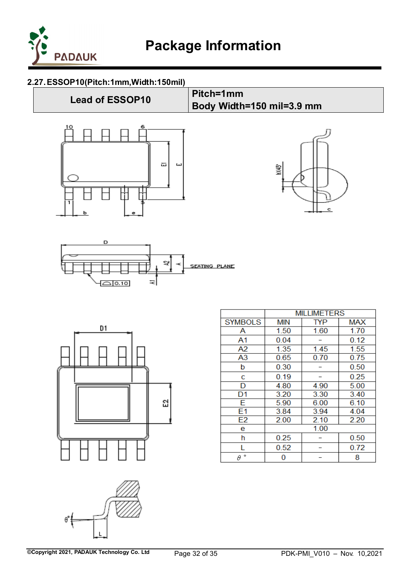

## <span id="page-31-0"></span>**2.27.ESSOP10(Pitch:1mm,Width:150mil)**

# **Lead of ESSOP10 Pitch=1mm Body Width=150 mil=3.9 mm** 云 ш ЙW. 圧 ċ







|                |            | MILLIME I ERS |            |
|----------------|------------|---------------|------------|
| <b>SYMBOLS</b> | <b>MIN</b> | <b>TYP</b>    | <b>MAX</b> |
| Α              | 1.50       | 1.60          | 1.70       |
| A1             | 0.04       |               | 0.12       |
| A2             | 1.35       | 1.45          | 1.55       |
| A <sub>3</sub> | 0.65       | 0.70          | 0.75       |
| þ              | 0.30       |               | 0.50       |
| с              | 0.19       |               | 0.25       |
| D              | 4.80       | 4.90          | 5.00       |
| D <sub>1</sub> | 3.20       | 3.30          | 3.40       |
| E              | 5.90       | 6.00          | 6.10       |
| E1             | 3.84       | 3.94          | 4.04       |
| E <sub>2</sub> | 2.00       | 2.10          | 2.20       |
| e              |            | 1.00          |            |
| h              | 0.25       |               | 0.50       |
|                | 0.52       |               | 0.72       |
| ۰<br>θ         | 0          |               | 8          |

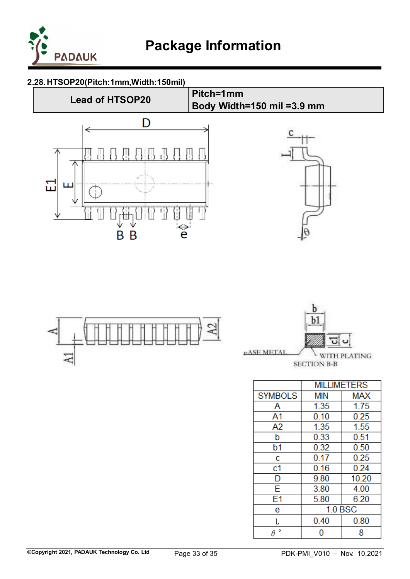

## <span id="page-32-0"></span>**2.28.HTSOP20(Pitch:1mm,Width:150mil)**







|                | <b>MILLIMETERS</b> |       |  |
|----------------|--------------------|-------|--|
| <b>SYMBOLS</b> | <b>MIN</b>         | MAX   |  |
| A              | 1.35               | 1.75  |  |
| A1             | 0.10               | 0.25  |  |
| A <sub>2</sub> | 1.35               | 1.55  |  |
| b              | 0.33               | 0.51  |  |
| b1             | 0.32               | 0.50  |  |
| c              | 0.17               | 0.25  |  |
| c1             | 0.16               | 0.24  |  |
| D              | 9.80               | 10.20 |  |
| Ē              | 3.80               | 4.00  |  |
| E1             | 5.80               | 6.20  |  |
| e              | <b>1.0 BSC</b>     |       |  |
| L              | 0.40               | 0.80  |  |
| ۰<br>θ         |                    | 8     |  |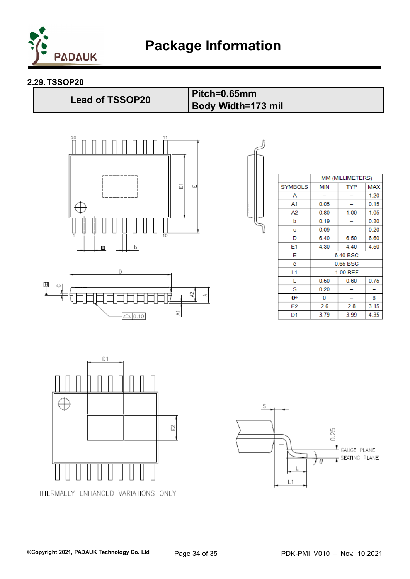

**Body Width=173 mil** 

#### <span id="page-33-0"></span>**2.29.TSSOP20**

**Lead of TSSOP20 Pitch=0.65mm**







|                | MM (MILLIMETERS) |            |            |
|----------------|------------------|------------|------------|
| <b>SYMBOLS</b> | <b>MIN</b>       | <b>TYP</b> | <b>MAX</b> |
| А              |                  |            | 1.20       |
| A1             | 0.05             |            | 0.15       |
| A2             | 0.80             | 1.00       | 1.05       |
| b              | 0.19             |            | 0.30       |
| c              | 0.09             |            | 0.20       |
| D              | 6.40             | 6.50       | 6.60       |
| E1             | 4.30             | 4.40       | 4.50       |
| E              | 6.40 BSC         |            |            |
| е              | 0.65 BSC         |            |            |
| L1             | 1.00 REF         |            |            |
| L              | 0.50             | 0.60       | 0.75       |
| s              | 0.20             |            |            |
| θ۰             | 0                |            | 8          |
| E2             | 2.6              | 2.8        | 3.15       |
| D1             | 3.79             | 3.99       | 4.35       |



THERMALLY ENHANCED VARIATIONS ONLY